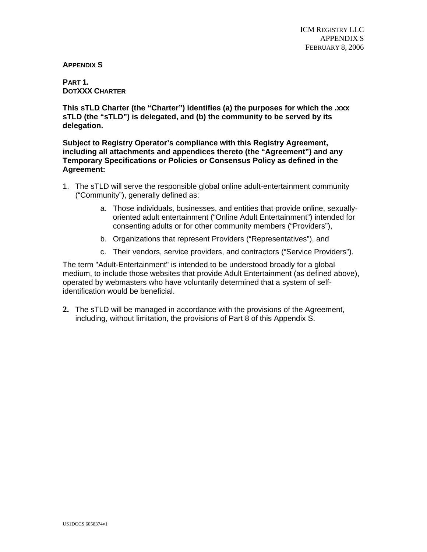**APPENDIX S** 

**PART 1. DOTXXX CHARTER**

**This sTLD Charter (the "Charter") identifies (a) the purposes for which the .xxx sTLD (the "sTLD") is delegated, and (b) the community to be served by its delegation.** 

**Subject to Registry Operator's compliance with this Registry Agreement, including all attachments and appendices thereto (the "Agreement") and any Temporary Specifications or Policies or Consensus Policy as defined in the Agreement:** 

- 1. The sTLD will serve the responsible global online adult-entertainment community ("Community"), generally defined as:
	- a. Those individuals, businesses, and entities that provide online, sexuallyoriented adult entertainment ("Online Adult Entertainment") intended for consenting adults or for other community members ("Providers"),
	- b. Organizations that represent Providers ("Representatives"), and
	- c. Their vendors, service providers, and contractors ("Service Providers").

The term "Adult-Entertainment" is intended to be understood broadly for a global medium, to include those websites that provide Adult Entertainment (as defined above), operated by webmasters who have voluntarily determined that a system of selfidentification would be beneficial.

**2.** The sTLD will be managed in accordance with the provisions of the Agreement, including, without limitation, the provisions of Part 8 of this Appendix S.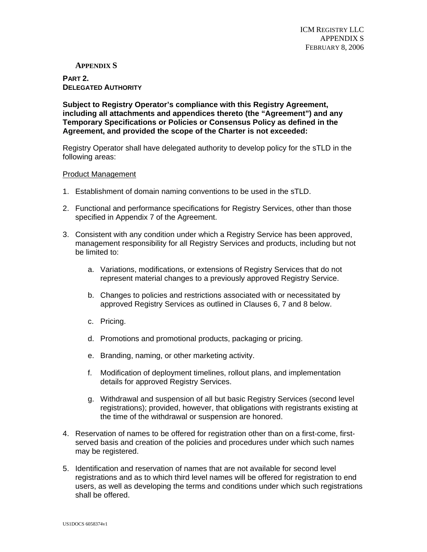# **APPENDIX S**

**PART 2. DELEGATED AUTHORITY**

**Subject to Registry Operator's compliance with this Registry Agreement, including all attachments and appendices thereto (the "Agreement") and any Temporary Specifications or Policies or Consensus Policy as defined in the Agreement, and provided the scope of the Charter is not exceeded:** 

Registry Operator shall have delegated authority to develop policy for the sTLD in the following areas:

#### Product Management

- 1. Establishment of domain naming conventions to be used in the sTLD.
- 2. Functional and performance specifications for Registry Services, other than those specified in Appendix 7 of the Agreement.
- 3. Consistent with any condition under which a Registry Service has been approved, management responsibility for all Registry Services and products, including but not be limited to:
	- a. Variations, modifications, or extensions of Registry Services that do not represent material changes to a previously approved Registry Service.
	- b. Changes to policies and restrictions associated with or necessitated by approved Registry Services as outlined in Clauses 6, 7 and 8 below.
	- c. Pricing.
	- d. Promotions and promotional products, packaging or pricing.
	- e. Branding, naming, or other marketing activity.
	- f. Modification of deployment timelines, rollout plans, and implementation details for approved Registry Services.
	- g. Withdrawal and suspension of all but basic Registry Services (second level registrations); provided, however, that obligations with registrants existing at the time of the withdrawal or suspension are honored.
- 4. Reservation of names to be offered for registration other than on a first-come, firstserved basis and creation of the policies and procedures under which such names may be registered.
- 5. Identification and reservation of names that are not available for second level registrations and as to which third level names will be offered for registration to end users, as well as developing the terms and conditions under which such registrations shall be offered.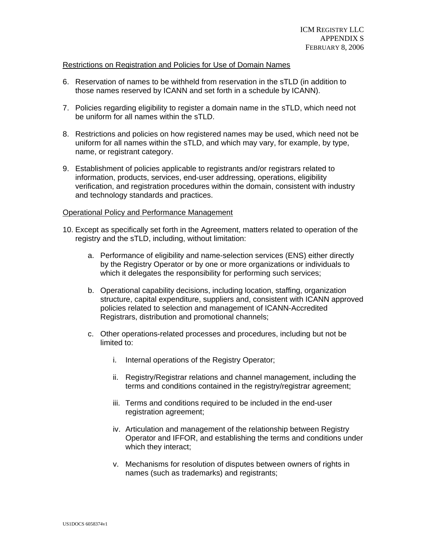### Restrictions on Registration and Policies for Use of Domain Names

- 6. Reservation of names to be withheld from reservation in the sTLD (in addition to those names reserved by ICANN and set forth in a schedule by ICANN).
- 7. Policies regarding eligibility to register a domain name in the sTLD, which need not be uniform for all names within the sTLD.
- 8. Restrictions and policies on how registered names may be used, which need not be uniform for all names within the sTLD, and which may vary, for example, by type, name, or registrant category.
- 9. Establishment of policies applicable to registrants and/or registrars related to information, products, services, end-user addressing, operations, eligibility verification, and registration procedures within the domain, consistent with industry and technology standards and practices.

#### Operational Policy and Performance Management

- 10. Except as specifically set forth in the Agreement, matters related to operation of the registry and the sTLD, including, without limitation:
	- a. Performance of eligibility and name-selection services (ENS) either directly by the Registry Operator or by one or more organizations or individuals to which it delegates the responsibility for performing such services;
	- b. Operational capability decisions, including location, staffing, organization structure, capital expenditure, suppliers and, consistent with ICANN approved policies related to selection and management of ICANN-Accredited Registrars, distribution and promotional channels;
	- c. Other operations-related processes and procedures, including but not be limited to:
		- i. Internal operations of the Registry Operator;
		- ii. Registry/Registrar relations and channel management, including the terms and conditions contained in the registry/registrar agreement;
		- iii. Terms and conditions required to be included in the end-user registration agreement;
		- iv. Articulation and management of the relationship between Registry Operator and IFFOR, and establishing the terms and conditions under which they interact;
		- v. Mechanisms for resolution of disputes between owners of rights in names (such as trademarks) and registrants;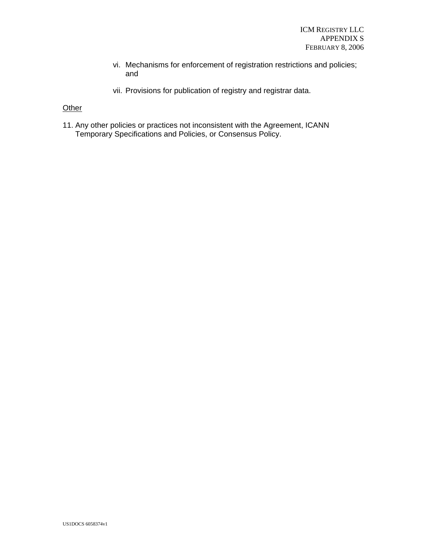- vi. Mechanisms for enforcement of registration restrictions and policies; and
- vii. Provisions for publication of registry and registrar data.

# **Other**

11. Any other policies or practices not inconsistent with the Agreement, ICANN Temporary Specifications and Policies, or Consensus Policy.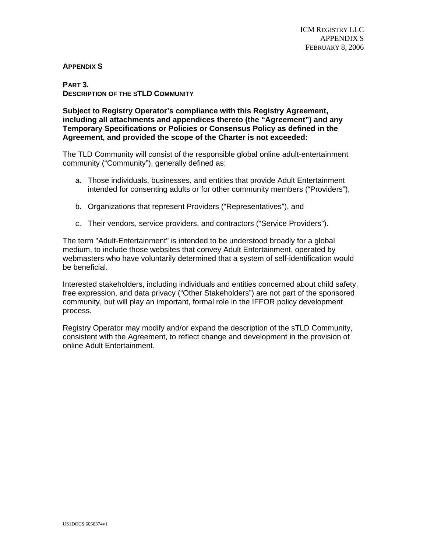## **APPENDIX S**

#### **PART 3. DESCRIPTION OF THE STLD COMMUNITY**

## **Subject to Registry Operator's compliance with this Registry Agreement, including all attachments and appendices thereto (the "Agreement") and any Temporary Specifications or Policies or Consensus Policy as defined in the Agreement, and provided the scope of the Charter is not exceeded:**

The TLD Community will consist of the responsible global online adult-entertainment community ("Community"), generally defined as:

- a. Those individuals, businesses, and entities that provide Adult Entertainment intended for consenting adults or for other community members ("Providers"),
- b. Organizations that represent Providers ("Representatives"), and
- c. Their vendors, service providers, and contractors ("Service Providers").

The term "Adult-Entertainment" is intended to be understood broadly for a global medium, to include those websites that convey Adult Entertainment, operated by webmasters who have voluntarily determined that a system of self-identification would be beneficial.

Interested stakeholders, including individuals and entities concerned about child safety, free expression, and data privacy ("Other Stakeholders") are not part of the sponsored community, but will play an important, formal role in the IFFOR policy development process.

Registry Operator may modify and/or expand the description of the sTLD Community, consistent with the Agreement, to reflect change and development in the provision of online Adult Entertainment.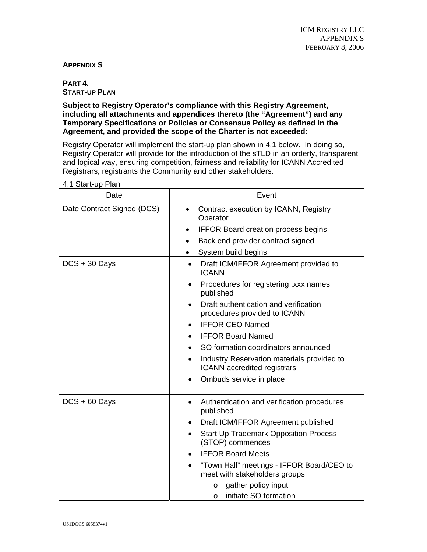# **APPENDIX S**

**PART 4. START-UP PLAN**

**Subject to Registry Operator's compliance with this Registry Agreement, including all attachments and appendices thereto (the "Agreement") and any Temporary Specifications or Policies or Consensus Policy as defined in the Agreement, and provided the scope of the Charter is not exceeded:**

Registry Operator will implement the start-up plan shown in 4.1 below. In doing so, Registry Operator will provide for the introduction of the sTLD in an orderly, transparent and logical way, ensuring competition, fairness and reliability for ICANN Accredited Registrars, registrants the Community and other stakeholders.

| Date                       | Event                                                                                                                                                                       |  |
|----------------------------|-----------------------------------------------------------------------------------------------------------------------------------------------------------------------------|--|
| Date Contract Signed (DCS) | Contract execution by ICANN, Registry<br>$\bullet$<br>Operator<br><b>IFFOR Board creation process begins</b><br>$\bullet$<br>Back end provider contract signed<br>$\bullet$ |  |
|                            | System build begins                                                                                                                                                         |  |
| $DCS + 30$ Days            | Draft ICM/IFFOR Agreement provided to<br><b>ICANN</b>                                                                                                                       |  |
|                            | Procedures for registering .xxx names<br>published                                                                                                                          |  |
|                            | Draft authentication and verification<br>procedures provided to ICANN                                                                                                       |  |
|                            | <b>IFFOR CEO Named</b><br>$\bullet$                                                                                                                                         |  |
|                            | <b>IFFOR Board Named</b><br>$\bullet$                                                                                                                                       |  |
|                            | SO formation coordinators announced                                                                                                                                         |  |
|                            | Industry Reservation materials provided to<br>$\bullet$<br><b>ICANN</b> accredited registrars                                                                               |  |
|                            | Ombuds service in place                                                                                                                                                     |  |
| $DCS + 60$ Days            | Authentication and verification procedures<br>٠<br>published                                                                                                                |  |
|                            | Draft ICM/IFFOR Agreement published<br>٠                                                                                                                                    |  |
|                            | <b>Start Up Trademark Opposition Process</b><br>(STOP) commences                                                                                                            |  |
|                            | <b>IFFOR Board Meets</b><br>$\bullet$                                                                                                                                       |  |
|                            | "Town Hall" meetings - IFFOR Board/CEO to<br>$\bullet$<br>meet with stakeholders groups                                                                                     |  |
|                            | gather policy input<br>$\circ$<br>initiate SO formation<br>$\circ$                                                                                                          |  |

4.1 Start-up Plan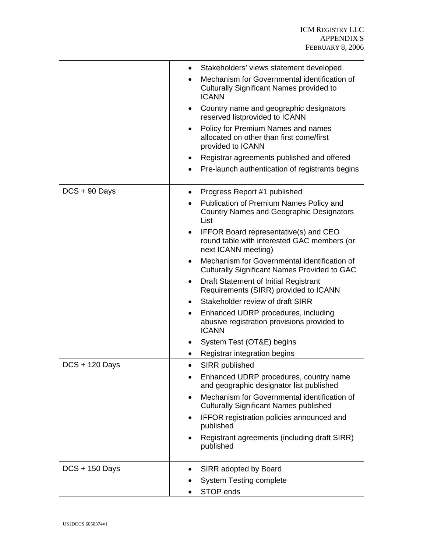|                  | Stakeholders' views statement developed                                                                            |
|------------------|--------------------------------------------------------------------------------------------------------------------|
|                  | Mechanism for Governmental identification of<br>Culturally Significant Names provided to<br><b>ICANN</b>           |
|                  | Country name and geographic designators<br>reserved listprovided to ICANN                                          |
|                  | Policy for Premium Names and names<br>$\bullet$<br>allocated on other than first come/first<br>provided to ICANN   |
|                  | Registrar agreements published and offered                                                                         |
|                  | Pre-launch authentication of registrants begins                                                                    |
| $DCS + 90$ Days  | Progress Report #1 published                                                                                       |
|                  | Publication of Premium Names Policy and<br><b>Country Names and Geographic Designators</b><br>List                 |
|                  | <b>IFFOR Board representative(s) and CEO</b><br>round table with interested GAC members (or<br>next ICANN meeting) |
|                  | Mechanism for Governmental identification of<br>٠<br><b>Culturally Significant Names Provided to GAC</b>           |
|                  | Draft Statement of Initial Registrant<br>Requirements (SIRR) provided to ICANN                                     |
|                  | Stakeholder review of draft SIRR                                                                                   |
|                  | Enhanced UDRP procedures, including<br>$\bullet$<br>abusive registration provisions provided to<br><b>ICANN</b>    |
|                  | System Test (OT&E) begins                                                                                          |
|                  | Registrar integration begins                                                                                       |
| $DCS + 120$ Days | SIRR published                                                                                                     |
|                  | Enhanced UDRP procedures, country name<br>and geographic designator list published                                 |
|                  | Mechanism for Governmental identification of<br><b>Culturally Significant Names published</b>                      |
|                  | IFFOR registration policies announced and<br>published                                                             |
|                  | Registrant agreements (including draft SIRR)<br>published                                                          |
| $DCS + 150$ Days | SIRR adopted by Board<br>$\bullet$                                                                                 |
|                  | <b>System Testing complete</b>                                                                                     |
|                  | STOP ends                                                                                                          |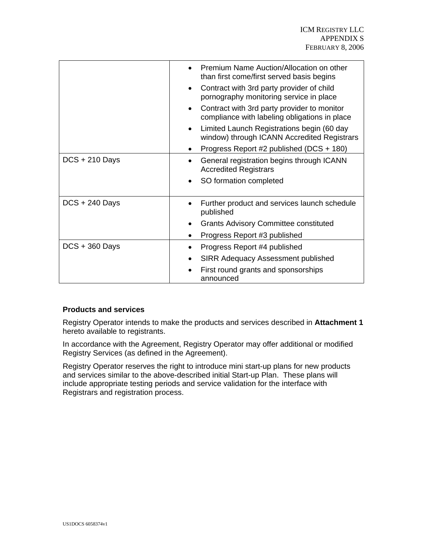|                  | Premium Name Auction/Allocation on other<br>than first come/first served basis begins        |
|------------------|----------------------------------------------------------------------------------------------|
|                  | Contract with 3rd party provider of child<br>pornography monitoring service in place         |
|                  | Contract with 3rd party provider to monitor<br>compliance with labeling obligations in place |
|                  | Limited Launch Registrations begin (60 day<br>window) through ICANN Accredited Registrars    |
|                  | Progress Report #2 published (DCS + 180)                                                     |
| $DCS + 210$ Days | General registration begins through ICANN<br><b>Accredited Registrars</b>                    |
|                  | SO formation completed                                                                       |
| $DCS + 240$ Days | Further product and services launch schedule<br>published                                    |
|                  | <b>Grants Advisory Committee constituted</b>                                                 |
|                  | Progress Report #3 published                                                                 |
| $DCS + 360$ Days | Progress Report #4 published                                                                 |
|                  | <b>SIRR Adequacy Assessment published</b>                                                    |
|                  | First round grants and sponsorships<br>announced                                             |

## **Products and services**

Registry Operator intends to make the products and services described in **Attachment 1** hereto available to registrants.

In accordance with the Agreement, Registry Operator may offer additional or modified Registry Services (as defined in the Agreement).

Registry Operator reserves the right to introduce mini start-up plans for new products and services similar to the above-described initial Start-up Plan. These plans will include appropriate testing periods and service validation for the interface with Registrars and registration process.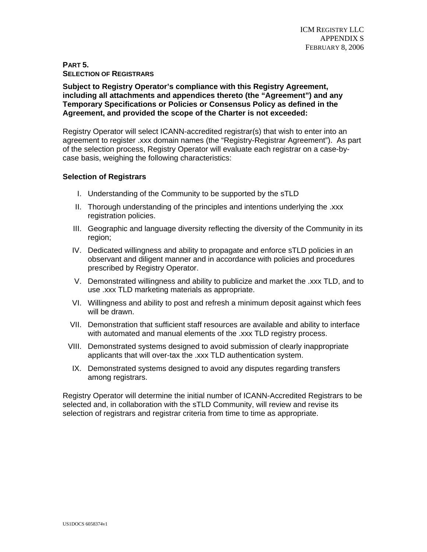# **PART 5. SELECTION OF REGISTRARS**

**Subject to Registry Operator's compliance with this Registry Agreement, including all attachments and appendices thereto (the "Agreement") and any Temporary Specifications or Policies or Consensus Policy as defined in the Agreement, and provided the scope of the Charter is not exceeded:** 

Registry Operator will select ICANN-accredited registrar(s) that wish to enter into an agreement to register .xxx domain names (the "Registry-Registrar Agreement"). As part of the selection process, Registry Operator will evaluate each registrar on a case-bycase basis, weighing the following characteristics:

# **Selection of Registrars**

- I. Understanding of the Community to be supported by the sTLD
- II. Thorough understanding of the principles and intentions underlying the .xxx registration policies.
- III. Geographic and language diversity reflecting the diversity of the Community in its region;
- IV. Dedicated willingness and ability to propagate and enforce sTLD policies in an observant and diligent manner and in accordance with policies and procedures prescribed by Registry Operator.
- V. Demonstrated willingness and ability to publicize and market the .xxx TLD, and to use .xxx TLD marketing materials as appropriate.
- VI. Willingness and ability to post and refresh a minimum deposit against which fees will be drawn.
- VII. Demonstration that sufficient staff resources are available and ability to interface with automated and manual elements of the .xxx TLD registry process.
- VIII. Demonstrated systems designed to avoid submission of clearly inappropriate applicants that will over-tax the .xxx TLD authentication system.
- IX. Demonstrated systems designed to avoid any disputes regarding transfers among registrars.

Registry Operator will determine the initial number of ICANN-Accredited Registrars to be selected and, in collaboration with the sTLD Community, will review and revise its selection of registrars and registrar criteria from time to time as appropriate.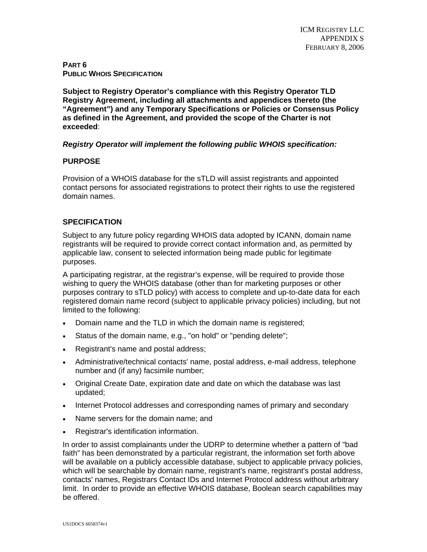**PART 6 PUBLIC WHOIS SPECIFICATION**

**Subject to Registry Operator's compliance with this Registry Operator TLD Registry Agreement, including all attachments and appendices thereto (the "Agreement") and any Temporary Specifications or Policies or Consensus Policy as defined in the Agreement, and provided the scope of the Charter is not exceeded**:

# *Registry Operator will implement the following public WHOIS specification:*

# **PURPOSE**

Provision of a WHOIS database for the sTLD will assist registrants and appointed contact persons for associated registrations to protect their rights to use the registered domain names.

# **SPECIFICATION**

Subject to any future policy regarding WHOIS data adopted by ICANN, domain name registrants will be required to provide correct contact information and, as permitted by applicable law, consent to selected information being made public for legitimate purposes.

A participating registrar, at the registrar's expense, will be required to provide those wishing to query the WHOIS database (other than for marketing purposes or other purposes contrary to sTLD policy) with access to complete and up-to-date data for each registered domain name record (subject to applicable privacy policies) including, but not limited to the following:

- Domain name and the TLD in which the domain name is registered;
- Status of the domain name, e.g., "on hold" or "pending delete";
- Registrant's name and postal address;
- Administrative/technical contacts' name, postal address, e-mail address, telephone number and (if any) facsimile number;
- Original Create Date, expiration date and date on which the database was last updated;
- Internet Protocol addresses and corresponding names of primary and secondary
- Name servers for the domain name; and
- Registrar's identification information.

In order to assist complainants under the UDRP to determine whether a pattern of "bad faith" has been demonstrated by a particular registrant, the information set forth above will be available on a publicly accessible database, subject to applicable privacy policies, which will be searchable by domain name, registrant's name, registrant's postal address, contacts' names, Registrars Contact IDs and Internet Protocol address without arbitrary limit. In order to provide an effective WHOIS database, Boolean search capabilities may be offered.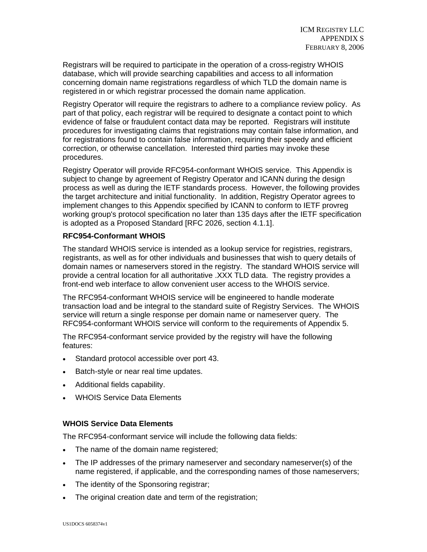Registrars will be required to participate in the operation of a cross-registry WHOIS database, which will provide searching capabilities and access to all information concerning domain name registrations regardless of which TLD the domain name is registered in or which registrar processed the domain name application.

Registry Operator will require the registrars to adhere to a compliance review policy. As part of that policy, each registrar will be required to designate a contact point to which evidence of false or fraudulent contact data may be reported. Registrars will institute procedures for investigating claims that registrations may contain false information, and for registrations found to contain false information, requiring their speedy and efficient correction, or otherwise cancellation. Interested third parties may invoke these procedures.

Registry Operator will provide RFC954-conformant WHOIS service. This Appendix is subject to change by agreement of Registry Operator and ICANN during the design process as well as during the IETF standards process. However, the following provides the target architecture and initial functionality. In addition, Registry Operator agrees to implement changes to this Appendix specified by ICANN to conform to IETF provreg working group's protocol specification no later than 135 days after the IETF specification is adopted as a Proposed Standard [RFC 2026, section 4.1.1].

# **RFC954-Conformant WHOIS**

The standard WHOIS service is intended as a lookup service for registries, registrars, registrants, as well as for other individuals and businesses that wish to query details of domain names or nameservers stored in the registry. The standard WHOIS service will provide a central location for all authoritative .XXX TLD data. The registry provides a front-end web interface to allow convenient user access to the WHOIS service.

The RFC954-conformant WHOIS service will be engineered to handle moderate transaction load and be integral to the standard suite of Registry Services. The WHOIS service will return a single response per domain name or nameserver query. The RFC954-conformant WHOIS service will conform to the requirements of Appendix 5.

The RFC954-conformant service provided by the registry will have the following features:

- Standard protocol accessible over port 43.
- Batch-style or near real time updates.
- Additional fields capability.
- WHOIS Service Data Elements

## **WHOIS Service Data Elements**

The RFC954-conformant service will include the following data fields:

- The name of the domain name registered;
- The IP addresses of the primary nameserver and secondary nameserver(s) of the name registered, if applicable, and the corresponding names of those nameservers;
- The identity of the Sponsoring registrar;
- The original creation date and term of the registration;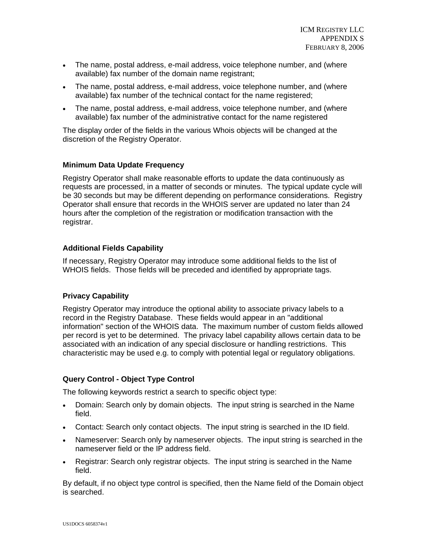- The name, postal address, e-mail address, voice telephone number, and (where available) fax number of the domain name registrant;
- The name, postal address, e-mail address, voice telephone number, and (where available) fax number of the technical contact for the name registered;
- The name, postal address, e-mail address, voice telephone number, and (where available) fax number of the administrative contact for the name registered

The display order of the fields in the various Whois objects will be changed at the discretion of the Registry Operator.

# **Minimum Data Update Frequency**

Registry Operator shall make reasonable efforts to update the data continuously as requests are processed, in a matter of seconds or minutes. The typical update cycle will be 30 seconds but may be different depending on performance considerations. Registry Operator shall ensure that records in the WHOIS server are updated no later than 24 hours after the completion of the registration or modification transaction with the registrar.

# **Additional Fields Capability**

If necessary, Registry Operator may introduce some additional fields to the list of WHOIS fields. Those fields will be preceded and identified by appropriate tags.

# **Privacy Capability**

Registry Operator may introduce the optional ability to associate privacy labels to a record in the Registry Database. These fields would appear in an "additional information" section of the WHOIS data. The maximum number of custom fields allowed per record is yet to be determined. The privacy label capability allows certain data to be associated with an indication of any special disclosure or handling restrictions. This characteristic may be used e.g. to comply with potential legal or regulatory obligations.

# **Query Control - Object Type Control**

The following keywords restrict a search to specific object type:

- Domain: Search only by domain objects. The input string is searched in the Name field.
- Contact: Search only contact objects. The input string is searched in the ID field.
- Nameserver: Search only by nameserver objects. The input string is searched in the nameserver field or the IP address field.
- Registrar: Search only registrar objects. The input string is searched in the Name field.

By default, if no object type control is specified, then the Name field of the Domain object is searched.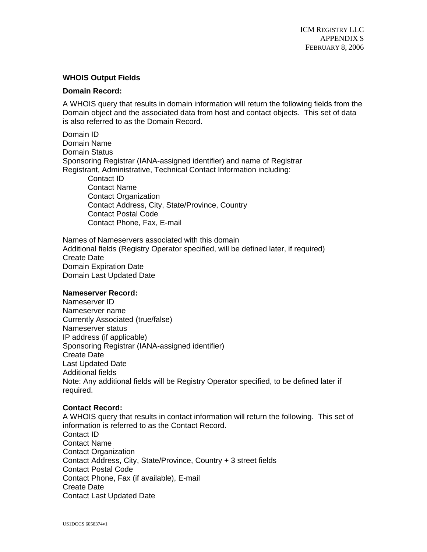# **WHOIS Output Fields**

## **Domain Record:**

A WHOIS query that results in domain information will return the following fields from the Domain object and the associated data from host and contact objects. This set of data is also referred to as the Domain Record.

Domain ID Domain Name Domain Status Sponsoring Registrar (IANA-assigned identifier) and name of Registrar Registrant, Administrative, Technical Contact Information including: Contact ID Contact Name Contact Organization Contact Address, City, State/Province, Country Contact Postal Code Contact Phone, Fax, E-mail

Names of Nameservers associated with this domain Additional fields (Registry Operator specified, will be defined later, if required) Create Date Domain Expiration Date Domain Last Updated Date

## **Nameserver Record:**

Nameserver ID Nameserver name Currently Associated (true/false) Nameserver status IP address (if applicable) Sponsoring Registrar (IANA-assigned identifier) Create Date Last Updated Date Additional fields Note: Any additional fields will be Registry Operator specified, to be defined later if required.

## **Contact Record:**

A WHOIS query that results in contact information will return the following. This set of information is referred to as the Contact Record. Contact ID Contact Name Contact Organization Contact Address, City, State/Province, Country + 3 street fields Contact Postal Code Contact Phone, Fax (if available), E-mail Create Date Contact Last Updated Date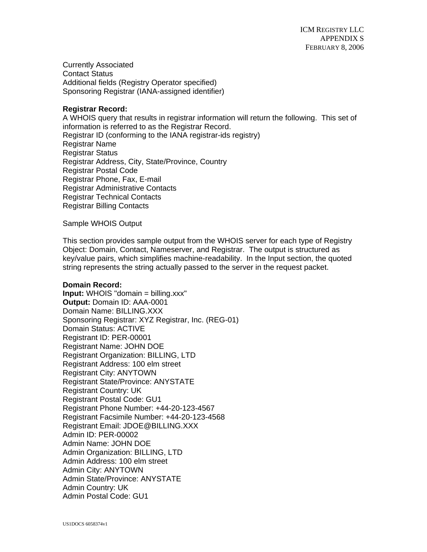Currently Associated Contact Status Additional fields (Registry Operator specified) Sponsoring Registrar (IANA-assigned identifier)

# **Registrar Record:**

A WHOIS query that results in registrar information will return the following. This set of information is referred to as the Registrar Record. Registrar ID (conforming to the IANA registrar-ids registry) Registrar Name Registrar Status Registrar Address, City, State/Province, Country Registrar Postal Code Registrar Phone, Fax, E-mail Registrar Administrative Contacts Registrar Technical Contacts Registrar Billing Contacts

Sample WHOIS Output

This section provides sample output from the WHOIS server for each type of Registry Object: Domain, Contact, Nameserver, and Registrar. The output is structured as key/value pairs, which simplifies machine-readability. In the Input section, the quoted string represents the string actually passed to the server in the request packet.

## **Domain Record:**

**Input:** WHOIS "domain = billing.xxx" **Output:** Domain ID: AAA-0001 Domain Name: BILLING.XXX Sponsoring Registrar: XYZ Registrar, Inc. (REG-01) Domain Status: ACTIVE Registrant ID: PER-00001 Registrant Name: JOHN DOE Registrant Organization: BILLING, LTD Registrant Address: 100 elm street Registrant City: ANYTOWN Registrant State/Province: ANYSTATE Registrant Country: UK Registrant Postal Code: GU1 Registrant Phone Number: +44-20-123-4567 Registrant Facsimile Number: +44-20-123-4568 Registrant Email: JDOE@BILLING.XXX Admin ID: PER-00002 Admin Name: JOHN DOE Admin Organization: BILLING, LTD Admin Address: 100 elm street Admin City: ANYTOWN Admin State/Province: ANYSTATE Admin Country: UK Admin Postal Code: GU1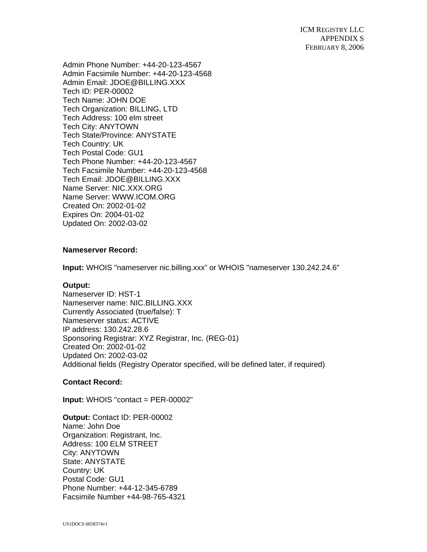ICM REGISTRY LLC APPENDIX S FEBRUARY 8, 2006

Admin Phone Number: +44-20-123-4567 Admin Facsimile Number: +44-20-123-4568 Admin Email: JDOE@BILLING.XXX Tech ID: PER-00002 Tech Name: JOHN DOE Tech Organization: BILLING, LTD Tech Address: 100 elm street Tech City: ANYTOWN Tech State/Province: ANYSTATE Tech Country: UK Tech Postal Code: GU1 Tech Phone Number: +44-20-123-4567 Tech Facsimile Number: +44-20-123-4568 Tech Email: JDOE@BILLING.XXX Name Server: NIC.XXX.ORG Name Server: WWW.ICOM.ORG Created On: 2002-01-02 Expires On: 2004-01-02 Updated On: 2002-03-02

# **Nameserver Record:**

**Input:** WHOIS "nameserver nic.billing.xxx" or WHOIS "nameserver 130.242.24.6"

## **Output:**

Nameserver ID: HST-1 Nameserver name: NIC.BILLING.XXX Currently Associated (true/false): T Nameserver status: ACTIVE IP address: 130.242.28.6 Sponsoring Registrar: XYZ Registrar, Inc. (REG-01) Created On: 2002-01-02 Updated On: 2002-03-02 Additional fields (Registry Operator specified, will be defined later, if required)

## **Contact Record:**

**Input:** WHOIS "contact = PER-00002"

**Output:** Contact ID: PER-00002 Name: John Doe Organization: Registrant, Inc. Address: 100 ELM STREET City: ANYTOWN State: ANYSTATE Country: UK Postal Code: GU1 Phone Number: +44-12-345-6789 Facsimile Number +44-98-765-4321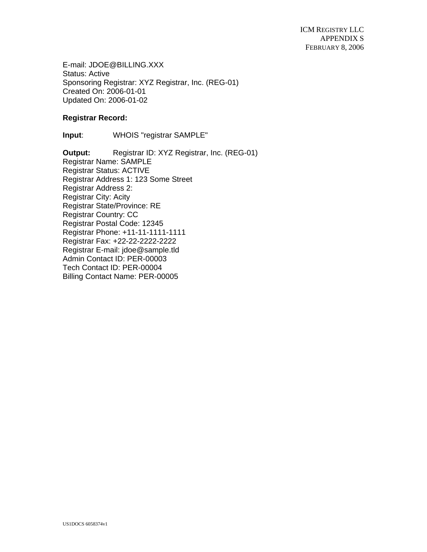E-mail: JDOE@BILLING.XXX Status: Active Sponsoring Registrar: XYZ Registrar, Inc. (REG-01) Created On: 2006-01-01 Updated On: 2006-01-02

## **Registrar Record:**

**Input**: WHOIS "registrar SAMPLE"

**Output:** Registrar ID: XYZ Registrar, Inc. (REG-01) Registrar Name: SAMPLE Registrar Status: ACTIVE Registrar Address 1: 123 Some Street Registrar Address 2: Registrar City: Acity Registrar State/Province: RE Registrar Country: CC Registrar Postal Code: 12345 Registrar Phone: +11-11-1111-1111 Registrar Fax: +22-22-2222-2222 Registrar E-mail: jdoe@sample.tld Admin Contact ID: PER-00003 Tech Contact ID: PER-00004 Billing Contact Name: PER-00005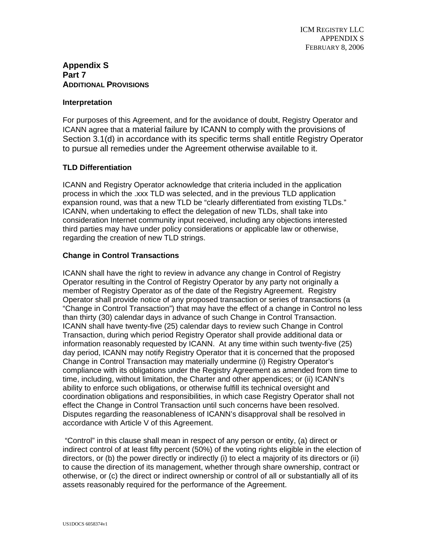# **Appendix S Part 7 ADDITIONAL PROVISIONS**

## **Interpretation**

For purposes of this Agreement, and for the avoidance of doubt, Registry Operator and ICANN agree that a material failure by ICANN to comply with the provisions of Section 3.1(d) in accordance with its specific terms shall entitle Registry Operator to pursue all remedies under the Agreement otherwise available to it.

# **TLD Differentiation**

ICANN and Registry Operator acknowledge that criteria included in the application process in which the .xxx TLD was selected, and in the previous TLD application expansion round, was that a new TLD be "clearly differentiated from existing TLDs." ICANN, when undertaking to effect the delegation of new TLDs, shall take into consideration Internet community input received, including any objections interested third parties may have under policy considerations or applicable law or otherwise, regarding the creation of new TLD strings.

# **Change in Control Transactions**

ICANN shall have the right to review in advance any change in Control of Registry Operator resulting in the Control of Registry Operator by any party not originally a member of Registry Operator as of the date of the Registry Agreement. Registry Operator shall provide notice of any proposed transaction or series of transactions (a "Change in Control Transaction") that may have the effect of a change in Control no less than thirty (30) calendar days in advance of such Change in Control Transaction. ICANN shall have twenty-five (25) calendar days to review such Change in Control Transaction, during which period Registry Operator shall provide additional data or information reasonably requested by ICANN. At any time within such twenty-five (25) day period, ICANN may notify Registry Operator that it is concerned that the proposed Change in Control Transaction may materially undermine (i) Registry Operator's compliance with its obligations under the Registry Agreement as amended from time to time, including, without limitation, the Charter and other appendices; or (ii) ICANN's ability to enforce such obligations, or otherwise fulfill its technical oversight and coordination obligations and responsibilities, in which case Registry Operator shall not effect the Change in Control Transaction until such concerns have been resolved. Disputes regarding the reasonableness of ICANN's disapproval shall be resolved in accordance with Article V of this Agreement.

 "Control" in this clause shall mean in respect of any person or entity, (a) direct or indirect control of at least fifty percent (50%) of the voting rights eligible in the election of directors, or (b) the power directly or indirectly (i) to elect a majority of its directors or (ii) to cause the direction of its management, whether through share ownership, contract or otherwise, or (c) the direct or indirect ownership or control of all or substantially all of its assets reasonably required for the performance of the Agreement.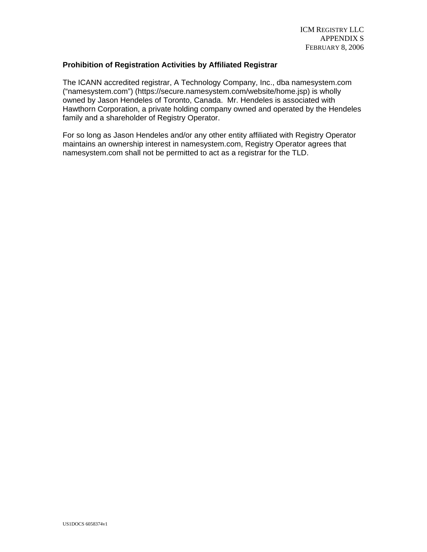## **Prohibition of Registration Activities by Affiliated Registrar**

The ICANN accredited registrar, A Technology Company, Inc., dba namesystem.com ("namesystem.com") (https://secure.namesystem.com/website/home.jsp) is wholly owned by Jason Hendeles of Toronto, Canada. Mr. Hendeles is associated with Hawthorn Corporation, a private holding company owned and operated by the Hendeles family and a shareholder of Registry Operator.

For so long as Jason Hendeles and/or any other entity affiliated with Registry Operator maintains an ownership interest in namesystem.com, Registry Operator agrees that namesystem.com shall not be permitted to act as a registrar for the TLD.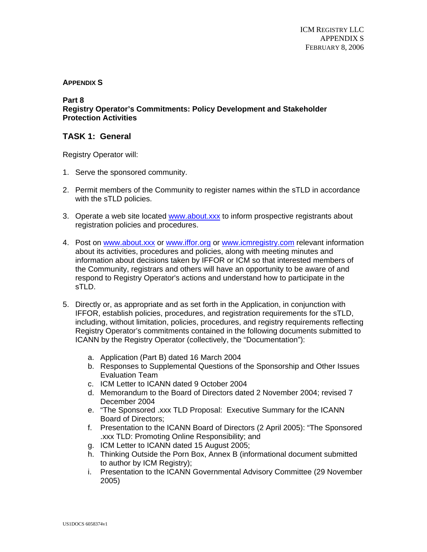# **APPENDIX S**

#### **Part 8**

**Registry Operator's Commitments: Policy Development and Stakeholder Protection Activities**

# **TASK 1: General**

Registry Operator will:

- 1. Serve the sponsored community.
- 2. Permit members of the Community to register names within the sTLD in accordance with the sTLD policies.
- 3. Operate a web site located www.about.xxx to inform prospective registrants about registration policies and procedures.
- 4. Post on www.about.xxx or www.iffor.org or www.icmregistry.com relevant information about its activities, procedures and policies, along with meeting minutes and information about decisions taken by IFFOR or ICM so that interested members of the Community, registrars and others will have an opportunity to be aware of and respond to Registry Operator's actions and understand how to participate in the sTLD.
- 5. Directly or, as appropriate and as set forth in the Application, in conjunction with IFFOR, establish policies, procedures, and registration requirements for the sTLD, including, without limitation, policies, procedures, and registry requirements reflecting Registry Operator's commitments contained in the following documents submitted to ICANN by the Registry Operator (collectively, the "Documentation"):
	- a. Application (Part B) dated 16 March 2004
	- b. Responses to Supplemental Questions of the Sponsorship and Other Issues Evaluation Team
	- c. ICM Letter to ICANN dated 9 October 2004
	- d. Memorandum to the Board of Directors dated 2 November 2004; revised 7 December 2004
	- e. "The Sponsored .xxx TLD Proposal: Executive Summary for the ICANN Board of Directors;
	- f. Presentation to the ICANN Board of Directors (2 April 2005): "The Sponsored .xxx TLD: Promoting Online Responsibility; and
	- g. ICM Letter to ICANN dated 15 August 2005;
	- h. Thinking Outside the Porn Box, Annex B (informational document submitted to author by ICM Registry);
	- i. Presentation to the ICANN Governmental Advisory Committee (29 November 2005)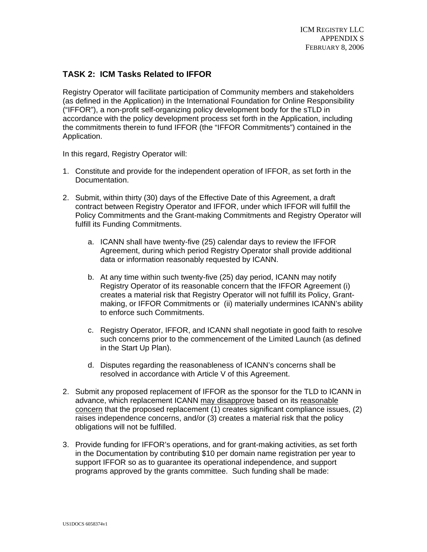# **TASK 2: ICM Tasks Related to IFFOR**

Registry Operator will facilitate participation of Community members and stakeholders (as defined in the Application) in the International Foundation for Online Responsibility ("IFFOR"), a non-profit self-organizing policy development body for the sTLD in accordance with the policy development process set forth in the Application, including the commitments therein to fund IFFOR (the "IFFOR Commitments") contained in the Application.

In this regard, Registry Operator will:

- 1. Constitute and provide for the independent operation of IFFOR, as set forth in the Documentation.
- 2. Submit, within thirty (30) days of the Effective Date of this Agreement, a draft contract between Registry Operator and IFFOR, under which IFFOR will fulfill the Policy Commitments and the Grant-making Commitments and Registry Operator will fulfill its Funding Commitments.
	- a. ICANN shall have twenty-five (25) calendar days to review the IFFOR Agreement, during which period Registry Operator shall provide additional data or information reasonably requested by ICANN.
	- b. At any time within such twenty-five (25) day period, ICANN may notify Registry Operator of its reasonable concern that the IFFOR Agreement (i) creates a material risk that Registry Operator will not fulfill its Policy, Grantmaking, or IFFOR Commitments or (ii) materially undermines ICANN's ability to enforce such Commitments.
	- c. Registry Operator, IFFOR, and ICANN shall negotiate in good faith to resolve such concerns prior to the commencement of the Limited Launch (as defined in the Start Up Plan).
	- d. Disputes regarding the reasonableness of ICANN's concerns shall be resolved in accordance with Article V of this Agreement.
- 2. Submit any proposed replacement of IFFOR as the sponsor for the TLD to ICANN in advance, which replacement ICANN may disapprove based on its reasonable concern that the proposed replacement (1) creates significant compliance issues, (2) raises independence concerns, and/or (3) creates a material risk that the policy obligations will not be fulfilled.
- 3. Provide funding for IFFOR's operations, and for grant-making activities, as set forth in the Documentation by contributing \$10 per domain name registration per year to support IFFOR so as to guarantee its operational independence, and support programs approved by the grants committee. Such funding shall be made: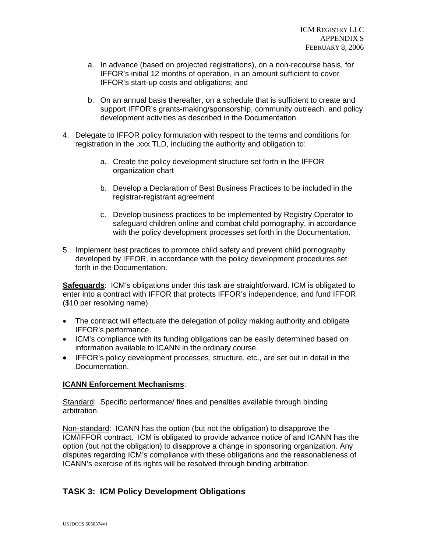- a. In advance (based on projected registrations), on a non-recourse basis, for IFFOR's initial 12 months of operation, in an amount sufficient to cover IFFOR's start-up costs and obligations; and
- b. On an annual basis thereafter, on a schedule that is sufficient to create and support IFFOR's grants-making/sponsorship, community outreach, and policy development activities as described in the Documentation.
- 4. Delegate to IFFOR policy formulation with respect to the terms and conditions for registration in the .xxx TLD, including the authority and obligation to:
	- a. Create the policy development structure set forth in the IFFOR organization chart
	- b. Develop a Declaration of Best Business Practices to be included in the registrar-registrant agreement
	- c. Develop business practices to be implemented by Registry Operator to safeguard children online and combat child pornography, in accordance with the policy development processes set forth in the Documentation.
- 5. Implement best practices to promote child safety and prevent child pornography developed by IFFOR, in accordance with the policy development procedures set forth in the Documentation.

**Safeguards**: ICM's obligations under this task are straightforward. ICM is obligated to enter into a contract with IFFOR that protects IFFOR's independence, and fund IFFOR (\$10 per resolving name).

- The contract will effectuate the delegation of policy making authority and obligate IFFOR's performance.
- ICM's compliance with its funding obligations can be easily determined based on information available to ICANN in the ordinary course.
- IFFOR's policy development processes, structure, etc., are set out in detail in the Documentation.

## **ICANN Enforcement Mechanisms**:

Standard: Specific performance/ fines and penalties available through binding arbitration.

Non-standard: ICANN has the option (but not the obligation) to disapprove the ICM/IFFOR contract. ICM is obligated to provide advance notice of and ICANN has the option (but not the obligation) to disapprove a change in sponsoring organization. Any disputes regarding ICM's compliance with these obligations and the reasonableness of ICANN's exercise of its rights will be resolved through binding arbitration.

# **TASK 3: ICM Policy Development Obligations**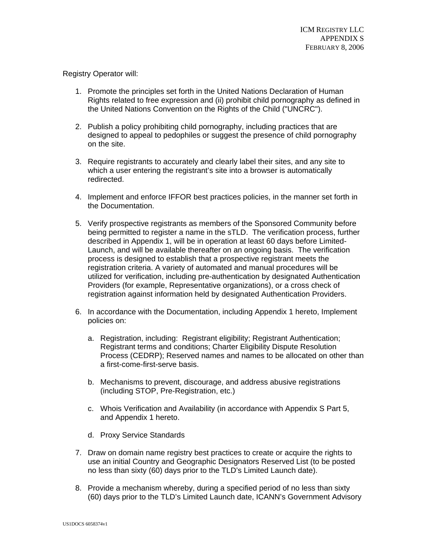Registry Operator will:

- 1. Promote the principles set forth in the United Nations Declaration of Human Rights related to free expression and (ii) prohibit child pornography as defined in the United Nations Convention on the Rights of the Child ("UNCRC").
- 2. Publish a policy prohibiting child pornography, including practices that are designed to appeal to pedophiles or suggest the presence of child pornography on the site.
- 3. Require registrants to accurately and clearly label their sites, and any site to which a user entering the registrant's site into a browser is automatically redirected.
- 4. Implement and enforce IFFOR best practices policies, in the manner set forth in the Documentation.
- 5. Verify prospective registrants as members of the Sponsored Community before being permitted to register a name in the sTLD. The verification process, further described in Appendix 1, will be in operation at least 60 days before Limited-Launch, and will be available thereafter on an ongoing basis. The verification process is designed to establish that a prospective registrant meets the registration criteria. A variety of automated and manual procedures will be utilized for verification, including pre-authentication by designated Authentication Providers (for example, Representative organizations), or a cross check of registration against information held by designated Authentication Providers.
- 6. In accordance with the Documentation, including Appendix 1 hereto, Implement policies on:
	- a. Registration, including: Registrant eligibility; Registrant Authentication; Registrant terms and conditions; Charter Eligibility Dispute Resolution Process (CEDRP); Reserved names and names to be allocated on other than a first-come-first-serve basis.
	- b. Mechanisms to prevent, discourage, and address abusive registrations (including STOP, Pre-Registration, etc.)
	- c. Whois Verification and Availability (in accordance with Appendix S Part 5, and Appendix 1 hereto.
	- d. Proxy Service Standards
- 7. Draw on domain name registry best practices to create or acquire the rights to use an initial Country and Geographic Designators Reserved List (to be posted no less than sixty (60) days prior to the TLD's Limited Launch date).
- 8. Provide a mechanism whereby, during a specified period of no less than sixty (60) days prior to the TLD's Limited Launch date, ICANN's Government Advisory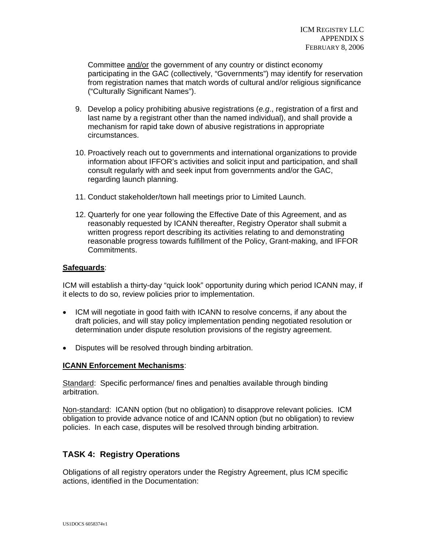Committee and/or the government of any country or distinct economy participating in the GAC (collectively, "Governments") may identify for reservation from registration names that match words of cultural and/or religious significance ("Culturally Significant Names").

- 9. Develop a policy prohibiting abusive registrations (*e.g*., registration of a first and last name by a registrant other than the named individual), and shall provide a mechanism for rapid take down of abusive registrations in appropriate circumstances.
- 10. Proactively reach out to governments and international organizations to provide information about IFFOR's activities and solicit input and participation, and shall consult regularly with and seek input from governments and/or the GAC, regarding launch planning.
- 11. Conduct stakeholder/town hall meetings prior to Limited Launch.
- 12. Quarterly for one year following the Effective Date of this Agreement, and as reasonably requested by ICANN thereafter, Registry Operator shall submit a written progress report describing its activities relating to and demonstrating reasonable progress towards fulfillment of the Policy, Grant-making, and IFFOR Commitments.

## **Safeguards**:

ICM will establish a thirty-day "quick look" opportunity during which period ICANN may, if it elects to do so, review policies prior to implementation.

- ICM will negotiate in good faith with ICANN to resolve concerns, if any about the draft policies, and will stay policy implementation pending negotiated resolution or determination under dispute resolution provisions of the registry agreement.
- Disputes will be resolved through binding arbitration.

## **ICANN Enforcement Mechanisms**:

Standard: Specific performance/ fines and penalties available through binding arbitration.

Non-standard: ICANN option (but no obligation) to disapprove relevant policies. ICM obligation to provide advance notice of and ICANN option (but no obligation) to review policies. In each case, disputes will be resolved through binding arbitration.

# **TASK 4: Registry Operations**

Obligations of all registry operators under the Registry Agreement, plus ICM specific actions, identified in the Documentation: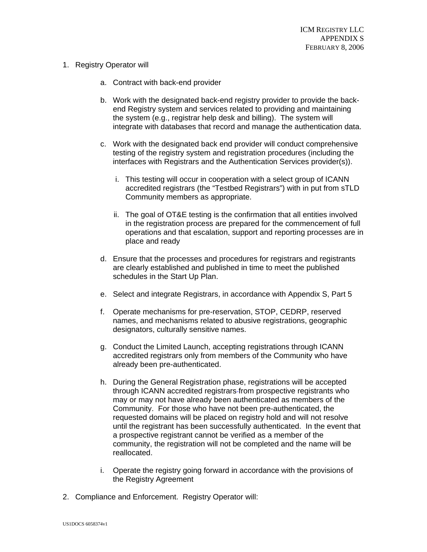- 1. Registry Operator will
	- a. Contract with back-end provider
	- b. Work with the designated back-end registry provider to provide the backend Registry system and services related to providing and maintaining the system (e.g., registrar help desk and billing). The system will integrate with databases that record and manage the authentication data.
	- c. Work with the designated back end provider will conduct comprehensive testing of the registry system and registration procedures (including the interfaces with Registrars and the Authentication Services provider(s)).
		- i. This testing will occur in cooperation with a select group of ICANN accredited registrars (the "Testbed Registrars") with in put from sTLD Community members as appropriate.
		- ii. The goal of OT&E testing is the confirmation that all entities involved in the registration process are prepared for the commencement of full operations and that escalation, support and reporting processes are in place and ready
	- d. Ensure that the processes and procedures for registrars and registrants are clearly established and published in time to meet the published schedules in the Start Up Plan.
	- e. Select and integrate Registrars, in accordance with Appendix S, Part 5
	- f. Operate mechanisms for pre-reservation, STOP, CEDRP, reserved names, and mechanisms related to abusive registrations, geographic designators, culturally sensitive names.
	- g. Conduct the Limited Launch, accepting registrations through ICANN accredited registrars only from members of the Community who have already been pre-authenticated.
	- h. During the General Registration phase, registrations will be accepted through ICANN accredited registrars from prospective registrants who may or may not have already been authenticated as members of the Community. For those who have not been pre-authenticated, the requested domains will be placed on registry hold and will not resolve until the registrant has been successfully authenticated. In the event that a prospective registrant cannot be verified as a member of the community, the registration will not be completed and the name will be reallocated.
	- i. Operate the registry going forward in accordance with the provisions of the Registry Agreement
- 2. Compliance and Enforcement. Registry Operator will: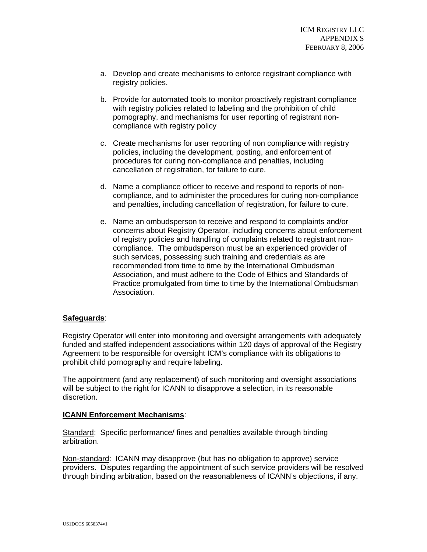- a. Develop and create mechanisms to enforce registrant compliance with registry policies.
- b. Provide for automated tools to monitor proactively registrant compliance with registry policies related to labeling and the prohibition of child pornography, and mechanisms for user reporting of registrant noncompliance with registry policy
- c. Create mechanisms for user reporting of non compliance with registry policies, including the development, posting, and enforcement of procedures for curing non-compliance and penalties, including cancellation of registration, for failure to cure.
- d. Name a compliance officer to receive and respond to reports of noncompliance, and to administer the procedures for curing non-compliance and penalties, including cancellation of registration, for failure to cure.
- e. Name an ombudsperson to receive and respond to complaints and/or concerns about Registry Operator, including concerns about enforcement of registry policies and handling of complaints related to registrant noncompliance. The ombudsperson must be an experienced provider of such services, possessing such training and credentials as are recommended from time to time by the International Ombudsman Association, and must adhere to the Code of Ethics and Standards of Practice promulgated from time to time by the International Ombudsman Association.

## **Safeguards**:

Registry Operator will enter into monitoring and oversight arrangements with adequately funded and staffed independent associations within 120 days of approval of the Registry Agreement to be responsible for oversight ICM's compliance with its obligations to prohibit child pornography and require labeling.

The appointment (and any replacement) of such monitoring and oversight associations will be subject to the right for ICANN to disapprove a selection, in its reasonable discretion.

## **ICANN Enforcement Mechanisms**:

Standard: Specific performance/ fines and penalties available through binding arbitration.

Non-standard: ICANN may disapprove (but has no obligation to approve) service providers. Disputes regarding the appointment of such service providers will be resolved through binding arbitration, based on the reasonableness of ICANN's objections, if any.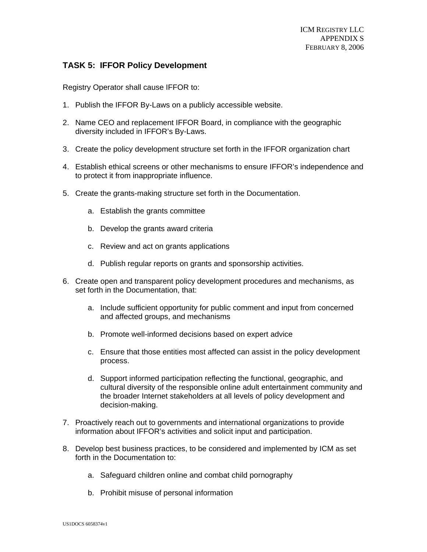# **TASK 5: IFFOR Policy Development**

Registry Operator shall cause IFFOR to:

- 1. Publish the IFFOR By-Laws on a publicly accessible website.
- 2. Name CEO and replacement IFFOR Board, in compliance with the geographic diversity included in IFFOR's By-Laws.
- 3. Create the policy development structure set forth in the IFFOR organization chart
- 4. Establish ethical screens or other mechanisms to ensure IFFOR's independence and to protect it from inappropriate influence.
- 5. Create the grants-making structure set forth in the Documentation.
	- a. Establish the grants committee
	- b. Develop the grants award criteria
	- c. Review and act on grants applications
	- d. Publish regular reports on grants and sponsorship activities.
- 6. Create open and transparent policy development procedures and mechanisms, as set forth in the Documentation, that:
	- a. Include sufficient opportunity for public comment and input from concerned and affected groups, and mechanisms
	- b. Promote well-informed decisions based on expert advice
	- c. Ensure that those entities most affected can assist in the policy development process.
	- d. Support informed participation reflecting the functional, geographic, and cultural diversity of the responsible online adult entertainment community and the broader Internet stakeholders at all levels of policy development and decision-making.
- 7. Proactively reach out to governments and international organizations to provide information about IFFOR's activities and solicit input and participation.
- 8. Develop best business practices, to be considered and implemented by ICM as set forth in the Documentation to:
	- a. Safeguard children online and combat child pornography
	- b. Prohibit misuse of personal information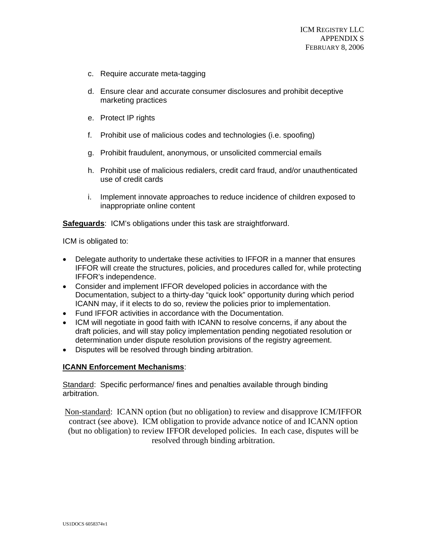- c. Require accurate meta-tagging
- d. Ensure clear and accurate consumer disclosures and prohibit deceptive marketing practices
- e. Protect IP rights
- f. Prohibit use of malicious codes and technologies (i.e. spoofing)
- g. Prohibit fraudulent, anonymous, or unsolicited commercial emails
- h. Prohibit use of malicious redialers, credit card fraud, and/or unauthenticated use of credit cards
- i. Implement innovate approaches to reduce incidence of children exposed to inappropriate online content

**Safeguards**: ICM's obligations under this task are straightforward.

ICM is obligated to:

- Delegate authority to undertake these activities to IFFOR in a manner that ensures IFFOR will create the structures, policies, and procedures called for, while protecting IFFOR's independence.
- Consider and implement IFFOR developed policies in accordance with the Documentation, subject to a thirty-day "quick look" opportunity during which period ICANN may, if it elects to do so, review the policies prior to implementation.
- Fund IFFOR activities in accordance with the Documentation.
- ICM will negotiate in good faith with ICANN to resolve concerns, if any about the draft policies, and will stay policy implementation pending negotiated resolution or determination under dispute resolution provisions of the registry agreement.
- Disputes will be resolved through binding arbitration.

#### **ICANN Enforcement Mechanisms**:

Standard: Specific performance/ fines and penalties available through binding arbitration.

Non-standard: ICANN option (but no obligation) to review and disapprove ICM/IFFOR contract (see above). ICM obligation to provide advance notice of and ICANN option (but no obligation) to review IFFOR developed policies. In each case, disputes will be resolved through binding arbitration.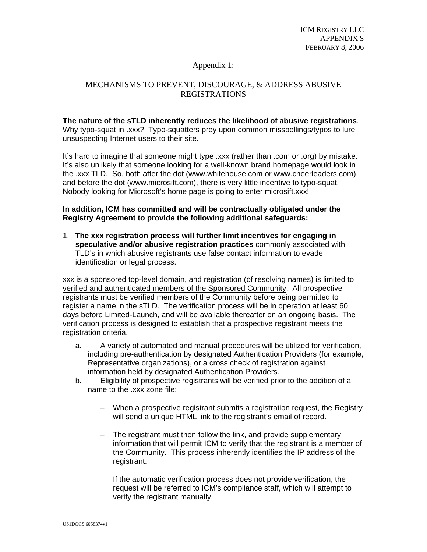# Appendix 1:

# MECHANISMS TO PREVENT, DISCOURAGE, & ADDRESS ABUSIVE REGISTRATIONS

# **The nature of the sTLD inherently reduces the likelihood of abusive registrations**.

Why typo-squat in .xxx? Typo-squatters prey upon common misspellings/typos to lure unsuspecting Internet users to their site.

It's hard to imagine that someone might type .xxx (rather than .com or .org) by mistake. It's also unlikely that someone looking for a well-known brand homepage would look in the .xxx TLD. So, both after the dot (www.whitehouse.com or www.cheerleaders.com), and before the dot (www.microsift.com), there is very little incentive to typo-squat. Nobody looking for Microsoft's home page is going to enter microsift.xxx!

## **In addition, ICM has committed and will be contractually obligated under the Registry Agreement to provide the following additional safeguards:**

1. **The xxx registration process will further limit incentives for engaging in speculative and/or abusive registration practices** commonly associated with TLD's in which abusive registrants use false contact information to evade identification or legal process.

xxx is a sponsored top-level domain, and registration (of resolving names) is limited to verified and authenticated members of the Sponsored Community. All prospective registrants must be verified members of the Community before being permitted to register a name in the sTLD. The verification process will be in operation at least 60 days before Limited-Launch, and will be available thereafter on an ongoing basis. The verification process is designed to establish that a prospective registrant meets the registration criteria.

- a. A variety of automated and manual procedures will be utilized for verification, including pre-authentication by designated Authentication Providers (for example, Representative organizations), or a cross check of registration against information held by designated Authentication Providers.
- b. Eligibility of prospective registrants will be verified prior to the addition of a name to the .xxx zone file:
	- − When a prospective registrant submits a registration request, the Registry will send a unique HTML link to the registrant's email of record.
	- − The registrant must then follow the link, and provide supplementary information that will permit ICM to verify that the registrant is a member of the Community. This process inherently identifies the IP address of the registrant.
	- − If the automatic verification process does not provide verification, the request will be referred to ICM's compliance staff, which will attempt to verify the registrant manually.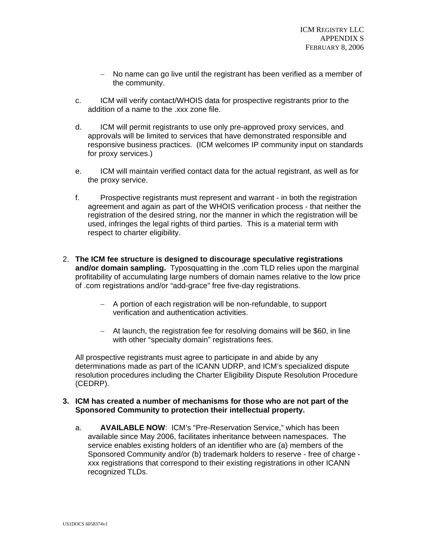- − No name can go live until the registrant has been verified as a member of the community.
- c. ICM will verify contact/WHOIS data for prospective registrants prior to the addition of a name to the .xxx zone file.
- d. ICM will permit registrants to use only pre-approved proxy services, and approvals will be limited to services that have demonstrated responsible and responsive business practices. (ICM welcomes IP community input on standards for proxy services.)
- e. ICM will maintain verified contact data for the actual registrant, as well as for the proxy service.
- f. Prospective registrants must represent and warrant in both the registration agreement and again as part of the WHOIS verification process - that neither the registration of the desired string, nor the manner in which the registration will be used, infringes the legal rights of third parties. This is a material term with respect to charter eligibility.
- 2. **The ICM fee structure is designed to discourage speculative registrations and/or domain sampling.** Typosquatting in the .com TLD relies upon the marginal profitability of accumulating large numbers of domain names relative to the low price of .com registrations and/or "add-grace" free five-day registrations.
	- − A portion of each registration will be non-refundable, to support verification and authentication activities.
	- − At launch, the registration fee for resolving domains will be \$60, in line with other "specialty domain" registrations fees.

All prospective registrants must agree to participate in and abide by any determinations made as part of the ICANN UDRP, and ICM's specialized dispute resolution procedures including the Charter Eligibility Dispute Resolution Procedure (CEDRP).

# **3. ICM has created a number of mechanisms for those who are not part of the Sponsored Community to protection their intellectual property.**

a. **AVAILABLE NOW**: ICM's "Pre-Reservation Service," which has been available since May 2006, facilitates inheritance between namespaces. The service enables existing holders of an identifier who are (a) members of the Sponsored Community and/or (b) trademark holders to reserve - free of charge xxx registrations that correspond to their existing registrations in other ICANN recognized TLDs.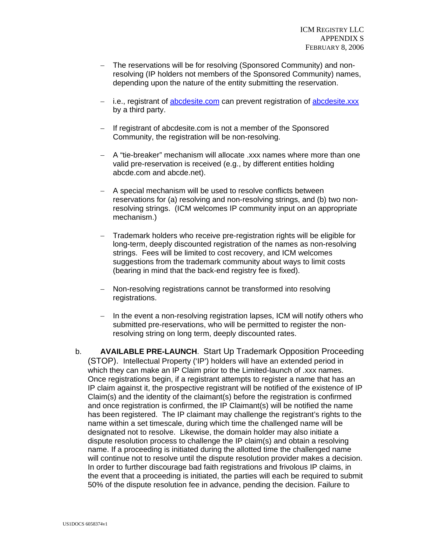- − The reservations will be for resolving (Sponsored Community) and nonresolving (IP holders not members of the Sponsored Community) names, depending upon the nature of the entity submitting the reservation.
- − i.e., registrant of abcdesite.com can prevent registration of abcdesite.xxx by a third party.
- − If registrant of abcdesite.com is not a member of the Sponsored Community, the registration will be non-resolving.
- − A "tie-breaker" mechanism will allocate .xxx names where more than one valid pre-reservation is received (e.g., by different entities holding abcde.com and abcde.net).
- − A special mechanism will be used to resolve conflicts between reservations for (a) resolving and non-resolving strings, and (b) two nonresolving strings. (ICM welcomes IP community input on an appropriate mechanism.)
- − Trademark holders who receive pre-registration rights will be eligible for long-term, deeply discounted registration of the names as non-resolving strings. Fees will be limited to cost recovery, and ICM welcomes suggestions from the trademark community about ways to limit costs (bearing in mind that the back-end registry fee is fixed).
- − Non-resolving registrations cannot be transformed into resolving registrations.
- − In the event a non-resolving registration lapses, ICM will notify others who submitted pre-reservations, who will be permitted to register the nonresolving string on long term, deeply discounted rates.
- b. **AVAILABLE PRE-LAUNCH**. Start Up Trademark Opposition Proceeding (STOP). Intellectual Property ('IP') holders will have an extended period in which they can make an IP Claim prior to the Limited-launch of .xxx names. Once registrations begin, if a registrant attempts to register a name that has an IP claim against it, the prospective registrant will be notified of the existence of IP Claim(s) and the identity of the claimant(s) before the registration is confirmed and once registration is confirmed, the IP Claimant(s) will be notified the name has been registered. The IP claimant may challenge the registrant's rights to the name within a set timescale, during which time the challenged name will be designated not to resolve. Likewise, the domain holder may also initiate a dispute resolution process to challenge the IP claim(s) and obtain a resolving name. If a proceeding is initiated during the allotted time the challenged name will continue not to resolve until the dispute resolution provider makes a decision. In order to further discourage bad faith registrations and frivolous IP claims, in the event that a proceeding is initiated, the parties will each be required to submit 50% of the dispute resolution fee in advance, pending the decision. Failure to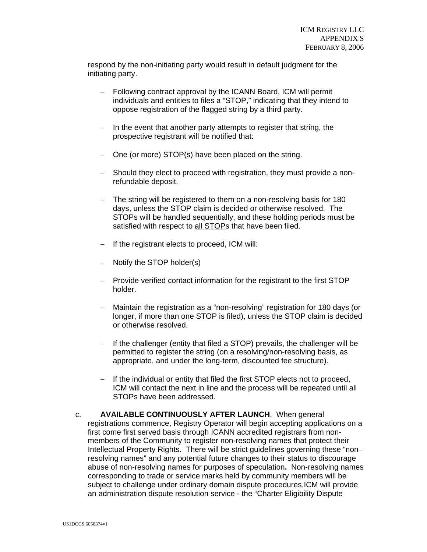respond by the non-initiating party would result in default judgment for the initiating party.

- − Following contract approval by the ICANN Board, ICM will permit individuals and entities to files a "STOP," indicating that they intend to oppose registration of the flagged string by a third party.
- − In the event that another party attempts to register that string, the prospective registrant will be notified that:
- − One (or more) STOP(s) have been placed on the string.
- − Should they elect to proceed with registration, they must provide a nonrefundable deposit.
- − The string will be registered to them on a non-resolving basis for 180 days, unless the STOP claim is decided or otherwise resolved. The STOPs will be handled sequentially, and these holding periods must be satisfied with respect to all STOPs that have been filed.
- − If the registrant elects to proceed, ICM will:
- − Notify the STOP holder(s)
- − Provide verified contact information for the registrant to the first STOP holder.
- − Maintain the registration as a "non-resolving" registration for 180 days (or longer, if more than one STOP is filed), unless the STOP claim is decided or otherwise resolved.
- − If the challenger (entity that filed a STOP) prevails, the challenger will be permitted to register the string (on a resolving/non-resolving basis, as appropriate, and under the long-term, discounted fee structure).
- − If the individual or entity that filed the first STOP elects not to proceed, ICM will contact the next in line and the process will be repeated until all STOPs have been addressed.
- c. **AVAILABLE CONTINUOUSLY AFTER LAUNCH**. When general registrations commence, Registry Operator will begin accepting applications on a first come first served basis through ICANN accredited registrars from nonmembers of the Community to register non-resolving names that protect their Intellectual Property Rights. There will be strict guidelines governing these "non– resolving names" and any potential future changes to their status to discourage abuse of non-resolving names for purposes of speculation**.** Non-resolving names corresponding to trade or service marks held by community members will be subject to challenge under ordinary domain dispute procedures,ICM will provide an administration dispute resolution service - the "Charter Eligibility Dispute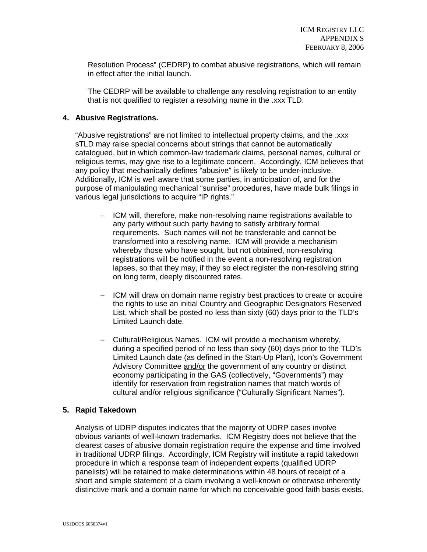Resolution Process" (CEDRP) to combat abusive registrations, which will remain in effect after the initial launch.

The CEDRP will be available to challenge any resolving registration to an entity that is not qualified to register a resolving name in the .xxx TLD.

## **4. Abusive Registrations.**

"Abusive registrations" are not limited to intellectual property claims, and the .xxx sTLD may raise special concerns about strings that cannot be automatically catalogued, but in which common-law trademark claims, personal names, cultural or religious terms, may give rise to a legitimate concern. Accordingly, ICM believes that any policy that mechanically defines "abusive" is likely to be under-inclusive. Additionally, ICM is well aware that some parties, in anticipation of, and for the purpose of manipulating mechanical "sunrise" procedures, have made bulk filings in various legal jurisdictions to acquire "IP rights."

- − ICM will, therefore, make non-resolving name registrations available to any party without such party having to satisfy arbitrary formal requirements. Such names will not be transferable and cannot be transformed into a resolving name. ICM will provide a mechanism whereby those who have sought, but not obtained, non-resolving registrations will be notified in the event a non-resolving registration lapses, so that they may, if they so elect register the non-resolving string on long term, deeply discounted rates.
- − ICM will draw on domain name registry best practices to create or acquire the rights to use an initial Country and Geographic Designators Reserved List, which shall be posted no less than sixty (60) days prior to the TLD's Limited Launch date.
- − Cultural/Religious Names. ICM will provide a mechanism whereby, during a specified period of no less than sixty (60) days prior to the TLD's Limited Launch date (as defined in the Start-Up Plan), Icon's Government Advisory Committee and/or the government of any country or distinct economy participating in the GAS (collectively, "Governments") may identify for reservation from registration names that match words of cultural and/or religious significance ("Culturally Significant Names").

## **5. Rapid Takedown**

Analysis of UDRP disputes indicates that the majority of UDRP cases involve obvious variants of well-known trademarks. ICM Registry does not believe that the clearest cases of abusive domain registration require the expense and time involved in traditional UDRP filings. Accordingly, ICM Registry will institute a rapid takedown procedure in which a response team of independent experts (qualified UDRP panelists) will be retained to make determinations within 48 hours of receipt of a short and simple statement of a claim involving a well-known or otherwise inherently distinctive mark and a domain name for which no conceivable good faith basis exists.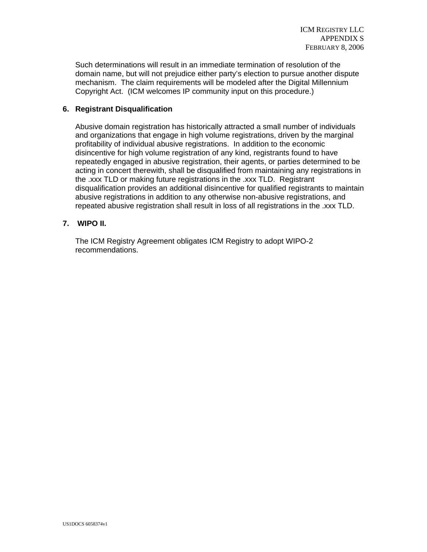Such determinations will result in an immediate termination of resolution of the domain name, but will not prejudice either party's election to pursue another dispute mechanism. The claim requirements will be modeled after the Digital Millennium Copyright Act. (ICM welcomes IP community input on this procedure.)

# **6. Registrant Disqualification**

Abusive domain registration has historically attracted a small number of individuals and organizations that engage in high volume registrations, driven by the marginal profitability of individual abusive registrations. In addition to the economic disincentive for high volume registration of any kind, registrants found to have repeatedly engaged in abusive registration, their agents, or parties determined to be acting in concert therewith, shall be disqualified from maintaining any registrations in the .xxx TLD or making future registrations in the .xxx TLD. Registrant disqualification provides an additional disincentive for qualified registrants to maintain abusive registrations in addition to any otherwise non-abusive registrations, and repeated abusive registration shall result in loss of all registrations in the .xxx TLD.

# **7. WIPO II.**

The ICM Registry Agreement obligates ICM Registry to adopt WIPO-2 recommendations.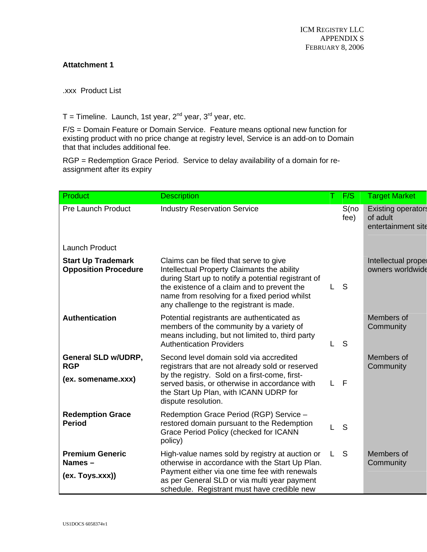# **Attatchment 1**

.xxx Product List

 $T =$  Timeline. Launch, 1st year,  $2<sup>nd</sup>$  year,  $3<sup>rd</sup>$  year, etc.

F/S = Domain Feature or Domain Service. Feature means optional new function for existing product with no price change at registry level, Service is an add-on to Domain that that includes additional fee.

RGP = Redemption Grace Period. Service to delay availability of a domain for reassignment after its expiry

| Product                                                        | <b>Description</b>                                                                                                                                                                                                                                                                       |   | F/S           | <b>Target Market</b>                                        |
|----------------------------------------------------------------|------------------------------------------------------------------------------------------------------------------------------------------------------------------------------------------------------------------------------------------------------------------------------------------|---|---------------|-------------------------------------------------------------|
| <b>Pre Launch Product</b>                                      | <b>Industry Reservation Service</b>                                                                                                                                                                                                                                                      |   | S(no)<br>fee) | <b>Existing operators</b><br>of adult<br>entertainment site |
| <b>Launch Product</b>                                          |                                                                                                                                                                                                                                                                                          |   |               |                                                             |
| <b>Start Up Trademark</b><br><b>Opposition Procedure</b>       | Claims can be filed that serve to give<br>Intellectual Property Claimants the ability<br>during Start up to notify a potential registrant of<br>the existence of a claim and to prevent the<br>name from resolving for a fixed period whilst<br>any challenge to the registrant is made. |   | S             | Intellectual prope<br>owners worldwide                      |
| <b>Authentication</b>                                          | Potential registrants are authenticated as<br>members of the community by a variety of<br>means including, but not limited to, third party<br><b>Authentication Providers</b>                                                                                                            |   | S             | Members of<br>Community                                     |
| <b>General SLD w/UDRP,</b><br><b>RGP</b><br>(ex. somename.xxx) | Second level domain sold via accredited<br>registrars that are not already sold or reserved<br>by the registry. Sold on a first-come, first-<br>served basis, or otherwise in accordance with<br>the Start Up Plan, with ICANN UDRP for<br>dispute resolution.                           | L | - F           | Members of<br>Community                                     |
| <b>Redemption Grace</b><br><b>Period</b>                       | Redemption Grace Period (RGP) Service -<br>restored domain pursuant to the Redemption<br>Grace Period Policy (checked for ICANN<br>policy)                                                                                                                                               |   | S             |                                                             |
| <b>Premium Generic</b><br>Names-<br>(ex. Toys.xxx))            | High-value names sold by registry at auction or<br>otherwise in accordance with the Start Up Plan.<br>Payment either via one time fee with renewals<br>as per General SLD or via multi year payment<br>schedule. Registrant must have credible new                                       |   | S             | Members of<br>Community                                     |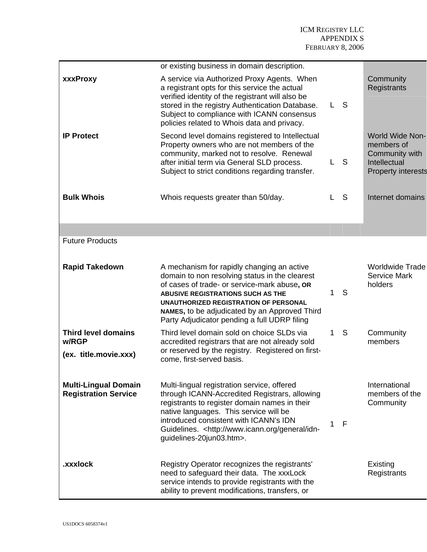|                                                            | or existing business in domain description.                                                                                                                                                                                                                                                                                        |             |    |                                                                                                     |
|------------------------------------------------------------|------------------------------------------------------------------------------------------------------------------------------------------------------------------------------------------------------------------------------------------------------------------------------------------------------------------------------------|-------------|----|-----------------------------------------------------------------------------------------------------|
| xxxProxy                                                   | A service via Authorized Proxy Agents. When<br>a registrant opts for this service the actual<br>verified identity of the registrant will also be<br>stored in the registry Authentication Database.<br>Subject to compliance with ICANN consensus<br>policies related to Whois data and privacy.                                   | L           | -S | Community<br>Registrants                                                                            |
| <b>IP Protect</b>                                          | Second level domains registered to Intellectual<br>Property owners who are not members of the<br>community, marked not to resolve. Renewal<br>after initial term via General SLD process.<br>Subject to strict conditions regarding transfer.                                                                                      | L           | S  | <b>World Wide Non-</b><br>members of<br>Community with<br>Intellectual<br><b>Property interests</b> |
| <b>Bulk Whois</b>                                          | Whois requests greater than 50/day.                                                                                                                                                                                                                                                                                                | L           | S  | Internet domains                                                                                    |
|                                                            |                                                                                                                                                                                                                                                                                                                                    |             |    |                                                                                                     |
| <b>Future Products</b>                                     |                                                                                                                                                                                                                                                                                                                                    |             |    |                                                                                                     |
| <b>Rapid Takedown</b>                                      | A mechanism for rapidly changing an active<br>domain to non resolving status in the clearest<br>of cases of trade- or service-mark abuse, OR<br><b>ABUSIVE REGISTRATIONS SUCH AS THE</b><br>UNAUTHORIZED REGISTRATION OF PERSONAL<br>NAMES, to be adjudicated by an Approved Third<br>Party Adjudicator pending a full UDRP filing | $\mathbf 1$ | S  | <b>Worldwide Trade</b><br><b>Service Mark</b><br>holders                                            |
| <b>Third level domains</b><br>w/RGP                        | Third level domain sold on choice SLDs via<br>accredited registrars that are not already sold                                                                                                                                                                                                                                      | 1           | S  | Community<br>members                                                                                |
| (ex. title.movie.xxx)                                      | or reserved by the registry. Registered on first-<br>come, first-served basis.                                                                                                                                                                                                                                                     |             |    |                                                                                                     |
| <b>Multi-Lingual Domain</b><br><b>Registration Service</b> | Multi-lingual registration service, offered<br>through ICANN-Accredited Registrars, allowing<br>registrants to register domain names in their<br>native languages. This service will be<br>introduced consistent with ICANN's IDN<br>Guidelines. <http: general="" idn-<br="" www.icann.org="">guidelines-20jun03.htm&gt;.</http:> | 1           | F  | International<br>members of the<br>Community                                                        |
| .xxxlock                                                   | Registry Operator recognizes the registrants'<br>need to safeguard their data. The xxxLock<br>service intends to provide registrants with the<br>ability to prevent modifications, transfers, or                                                                                                                                   |             |    | Existing<br>Registrants                                                                             |